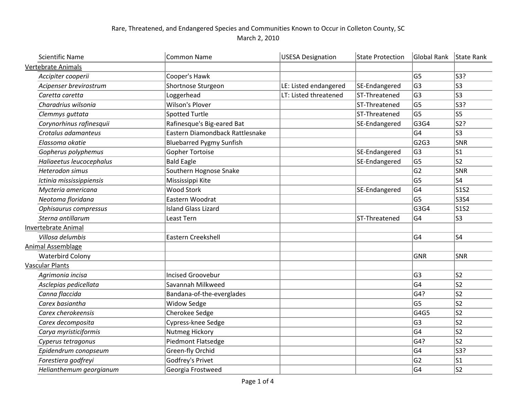## Rare, Threatened, and Endangered Species and Communities Known to Occur in Colleton County, SC March 2, 2010

| <b>Scientific Name</b>    | <b>Common Name</b>              | <b>USESA Designation</b> | <b>State Protection</b> | <b>Global Rank</b> | State Rank                    |
|---------------------------|---------------------------------|--------------------------|-------------------------|--------------------|-------------------------------|
| <b>Vertebrate Animals</b> |                                 |                          |                         |                    |                               |
| Accipiter cooperii        | Cooper's Hawk                   |                          |                         | G <sub>5</sub>     | S3?                           |
| Acipenser brevirostrum    | Shortnose Sturgeon              | LE: Listed endangered    | SE-Endangered           | G <sub>3</sub>     | ls3                           |
| Caretta caretta           | Loggerhead                      | LT: Listed threatened    | ST-Threatened           | G <sub>3</sub>     | S <sub>3</sub>                |
| Charadrius wilsonia       | Wilson's Plover                 |                          | ST-Threatened           | G <sub>5</sub>     | S3?                           |
| Clemmys guttata           | <b>Spotted Turtle</b>           |                          | ST-Threatened           | G <sub>5</sub>     | S5                            |
| Corynorhinus rafinesquii  | Rafinesque's Big-eared Bat      |                          | SE-Endangered           | G3G4               | S2?                           |
| Crotalus adamanteus       | Eastern Diamondback Rattlesnake |                          |                         | G <sub>4</sub>     | S3                            |
| Elassoma okatie           | <b>Bluebarred Pygmy Sunfish</b> |                          |                         | G2G3               | SNR                           |
| Gopherus polyphemus       | <b>Gopher Tortoise</b>          |                          | SE-Endangered           | G <sub>3</sub>     | S1                            |
| Haliaeetus leucocephalus  | <b>Bald Eagle</b>               |                          | SE-Endangered           | G <sub>5</sub>     | s2                            |
| <b>Heterodon simus</b>    | Southern Hognose Snake          |                          |                         | G <sub>2</sub>     | SNR                           |
| Ictinia mississippiensis  | Mississippi Kite                |                          |                         | G <sub>5</sub>     | S4                            |
| Mycteria americana        | <b>Wood Stork</b>               |                          | SE-Endangered           | G <sub>4</sub>     | <b>S1S2</b>                   |
| Neotoma floridana         | Eastern Woodrat                 |                          |                         | G <sub>5</sub>     | $ $ S3S4                      |
| Ophisaurus compressus     | <b>Island Glass Lizard</b>      |                          |                         | G3G4               | S <sub>1</sub> S <sub>2</sub> |
| Sterna antillarum         | Least Tern                      |                          | ST-Threatened           | G <sub>4</sub>     | S <sub>3</sub>                |
| Invertebrate Animal       |                                 |                          |                         |                    |                               |
| Villosa delumbis          | Eastern Creekshell              |                          |                         | G <sub>4</sub>     | S <sub>4</sub>                |
| <b>Animal Assemblage</b>  |                                 |                          |                         |                    |                               |
| <b>Waterbird Colony</b>   |                                 |                          |                         | <b>GNR</b>         | SNR                           |
| <b>Vascular Plants</b>    |                                 |                          |                         |                    |                               |
| Agrimonia incisa          | <b>Incised Groovebur</b>        |                          |                         | G <sub>3</sub>     | S2                            |
| Asclepias pedicellata     | Savannah Milkweed               |                          |                         | G <sub>4</sub>     | S <sub>2</sub>                |
| Canna flaccida            | Bandana-of-the-everglades       |                          |                         | G4?                | S2                            |
| Carex basiantha           | <b>Widow Sedge</b>              |                          |                         | G <sub>5</sub>     | s2                            |
| Carex cherokeensis        | Cherokee Sedge                  |                          |                         | G4G5               | s2                            |
| Carex decomposita         | Cypress-knee Sedge              |                          |                         | G <sub>3</sub>     | S2                            |
| Carya myristiciformis     | Nutmeg Hickory                  |                          |                         | G <sub>4</sub>     | S <sub>2</sub>                |
| Cyperus tetragonus        | Piedmont Flatsedge              |                          |                         | G4?                | ls2                           |
| Epidendrum conopseum      | Green-fly Orchid                |                          |                         | G <sub>4</sub>     | S3?                           |
| Forestiera godfreyi       | Godfrey's Privet                |                          |                         | G <sub>2</sub>     | ls1                           |
| Helianthemum georgianum   | Georgia Frostweed               |                          |                         | G <sub>4</sub>     | ls2                           |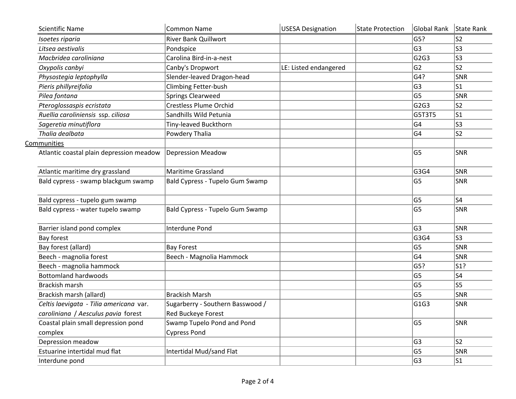| <b>Scientific Name</b>                   | <b>Common Name</b>               | <b>USESA Designation</b> | State Protection | Global Rank    | State Rank     |
|------------------------------------------|----------------------------------|--------------------------|------------------|----------------|----------------|
| Isoetes riparia                          | <b>River Bank Quillwort</b>      |                          |                  | G5?            | S <sub>2</sub> |
| Litsea aestivalis                        | Pondspice                        |                          |                  | G <sub>3</sub> | ls3            |
| Macbridea caroliniana                    | Carolina Bird-in-a-nest          |                          |                  | G2G3           | S3             |
| Oxypolis canbyi                          | Canby's Dropwort                 | LE: Listed endangered    |                  | G <sub>2</sub> | S2             |
| Physostegia leptophylla                  | Slender-leaved Dragon-head       |                          |                  | G4?            | SNR            |
| Pieris phillyreifolia                    | Climbing Fetter-bush             |                          |                  | G3             | S1             |
| Pilea fontana                            | <b>Springs Clearweed</b>         |                          |                  | G <sub>5</sub> | SNR            |
| Pteroglossaspis ecristata                | <b>Crestless Plume Orchid</b>    |                          |                  | G2G3           | S <sub>2</sub> |
| Ruellia caroliniensis ssp. ciliosa       | Sandhills Wild Petunia           |                          |                  | G5T3T5         | S1             |
| Sageretia minutiflora                    | Tiny-leaved Buckthorn            |                          |                  | G4             | S3             |
| Thalia dealbata                          | Powdery Thalia                   |                          |                  | G4             | S <sub>2</sub> |
| Communities                              |                                  |                          |                  |                |                |
| Atlantic coastal plain depression meadow | <b>Depression Meadow</b>         |                          |                  | G5             | SNR            |
| Atlantic maritime dry grassland          | <b>Maritime Grassland</b>        |                          |                  | G3G4           | SNR            |
| Bald cypress - swamp blackgum swamp      | Bald Cypress - Tupelo Gum Swamp  |                          |                  | G <sub>5</sub> | SNR            |
| Bald cypress - tupelo gum swamp          |                                  |                          |                  | G <sub>5</sub> | S4             |
| Bald cypress - water tupelo swamp        | Bald Cypress - Tupelo Gum Swamp  |                          |                  | G <sub>5</sub> | SNR            |
| Barrier island pond complex              | Interdune Pond                   |                          |                  | G3             | SNR            |
| Bay forest                               |                                  |                          |                  | G3G4           | ls3            |
| Bay forest (allard)                      | <b>Bay Forest</b>                |                          |                  | G5             | SNR            |
| Beech - magnolia forest                  | Beech - Magnolia Hammock         |                          |                  | G4             | SNR            |
| Beech - magnolia hammock                 |                                  |                          |                  | G5?            | S1?            |
| <b>Bottomland hardwoods</b>              |                                  |                          |                  | G <sub>5</sub> | S4             |
| <b>Brackish marsh</b>                    |                                  |                          |                  | G <sub>5</sub> | S5             |
| Brackish marsh (allard)                  | <b>Brackish Marsh</b>            |                          |                  | G <sub>5</sub> | SNR            |
| Celtis laevigata - Tilia americana var.  | Sugarberry - Southern Basswood / |                          |                  | G1G3           | SNR            |
| caroliniana / Aesculus pavia forest      | Red Buckeye Forest               |                          |                  |                |                |
| Coastal plain small depression pond      | Swamp Tupelo Pond and Pond       |                          |                  | G5             | SNR            |
| complex                                  | <b>Cypress Pond</b>              |                          |                  |                |                |
| Depression meadow                        |                                  |                          |                  | G3             | S <sub>2</sub> |
| Estuarine intertidal mud flat            | Intertidal Mud/sand Flat         |                          |                  | G5             | SNR            |
| Interdune pond                           |                                  |                          |                  | G <sub>3</sub> | S1             |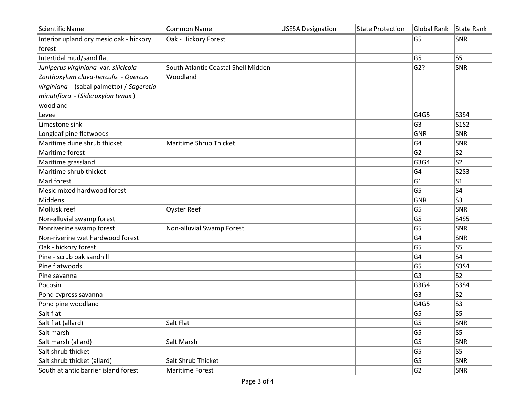| <b>Scientific Name</b>                    | <b>Common Name</b>                  | <b>USESA Designation</b> | <b>State Protection</b> | Global Rank State Rank |                |
|-------------------------------------------|-------------------------------------|--------------------------|-------------------------|------------------------|----------------|
| Interior upland dry mesic oak - hickory   | Oak - Hickory Forest                |                          |                         | G <sub>5</sub>         | SNR            |
| forest                                    |                                     |                          |                         |                        |                |
| Intertidal mud/sand flat                  |                                     |                          |                         | G <sub>5</sub>         | S <sub>5</sub> |
| Juniperus virginiana var. silicicola -    | South Atlantic Coastal Shell Midden |                          |                         | G2?                    | SNR            |
| Zanthoxylum clava-herculis - Quercus      | Woodland                            |                          |                         |                        |                |
| virginiana - (sabal palmetto) / Sageretia |                                     |                          |                         |                        |                |
| minutiflora - (Sideroxylon tenax)         |                                     |                          |                         |                        |                |
| woodland                                  |                                     |                          |                         |                        |                |
| Levee                                     |                                     |                          |                         | G4G5                   | S3S4           |
| Limestone sink                            |                                     |                          |                         | G <sub>3</sub>         | <b>S1S2</b>    |
| Longleaf pine flatwoods                   |                                     |                          |                         | <b>GNR</b>             | SNR            |
| Maritime dune shrub thicket               | Maritime Shrub Thicket              |                          |                         | G <sub>4</sub>         | SNR            |
| Maritime forest                           |                                     |                          |                         | G <sub>2</sub>         | S <sub>2</sub> |
| Maritime grassland                        |                                     |                          |                         | G3G4                   | S <sub>2</sub> |
| Maritime shrub thicket                    |                                     |                          |                         | G <sub>4</sub>         | <b>S2S3</b>    |
| Marl forest                               |                                     |                          |                         | G <sub>1</sub>         | S <sub>1</sub> |
| Mesic mixed hardwood forest               |                                     |                          |                         | G <sub>5</sub>         | S <sub>4</sub> |
| Middens                                   |                                     |                          |                         | <b>GNR</b>             | S <sub>3</sub> |
| Mollusk reef                              | <b>Oyster Reef</b>                  |                          |                         | G <sub>5</sub>         | SNR            |
| Non-alluvial swamp forest                 |                                     |                          |                         | G <sub>5</sub>         | <b>S4S5</b>    |
| Nonriverine swamp forest                  | Non-alluvial Swamp Forest           |                          |                         | G <sub>5</sub>         | SNR            |
| Non-riverine wet hardwood forest          |                                     |                          |                         | G <sub>4</sub>         | SNR            |
| Oak - hickory forest                      |                                     |                          |                         | G <sub>5</sub>         | S <sub>5</sub> |
| Pine - scrub oak sandhill                 |                                     |                          |                         | G <sub>4</sub>         | S <sub>4</sub> |
| Pine flatwoods                            |                                     |                          |                         | G <sub>5</sub>         | <b>S3S4</b>    |
| Pine savanna                              |                                     |                          |                         | G <sub>3</sub>         | S <sub>2</sub> |
| Pocosin                                   |                                     |                          |                         | G3G4                   | <b>S3S4</b>    |
| Pond cypress savanna                      |                                     |                          |                         | G <sub>3</sub>         | S <sub>2</sub> |
| Pond pine woodland                        |                                     |                          |                         | G4G5                   | S <sub>3</sub> |
| Salt flat                                 |                                     |                          |                         | G <sub>5</sub>         | S5             |
| Salt flat (allard)                        | Salt Flat                           |                          |                         | G <sub>5</sub>         | SNR            |
| Salt marsh                                |                                     |                          |                         | G <sub>5</sub>         | S <sub>5</sub> |
| Salt marsh (allard)                       | Salt Marsh                          |                          |                         | G <sub>5</sub>         | SNR            |
| Salt shrub thicket                        |                                     |                          |                         | G <sub>5</sub>         | S5             |
| Salt shrub thicket (allard)               | Salt Shrub Thicket                  |                          |                         | G <sub>5</sub>         | SNR            |
| South atlantic barrier island forest      | Maritime Forest                     |                          |                         | G2                     | SNR            |